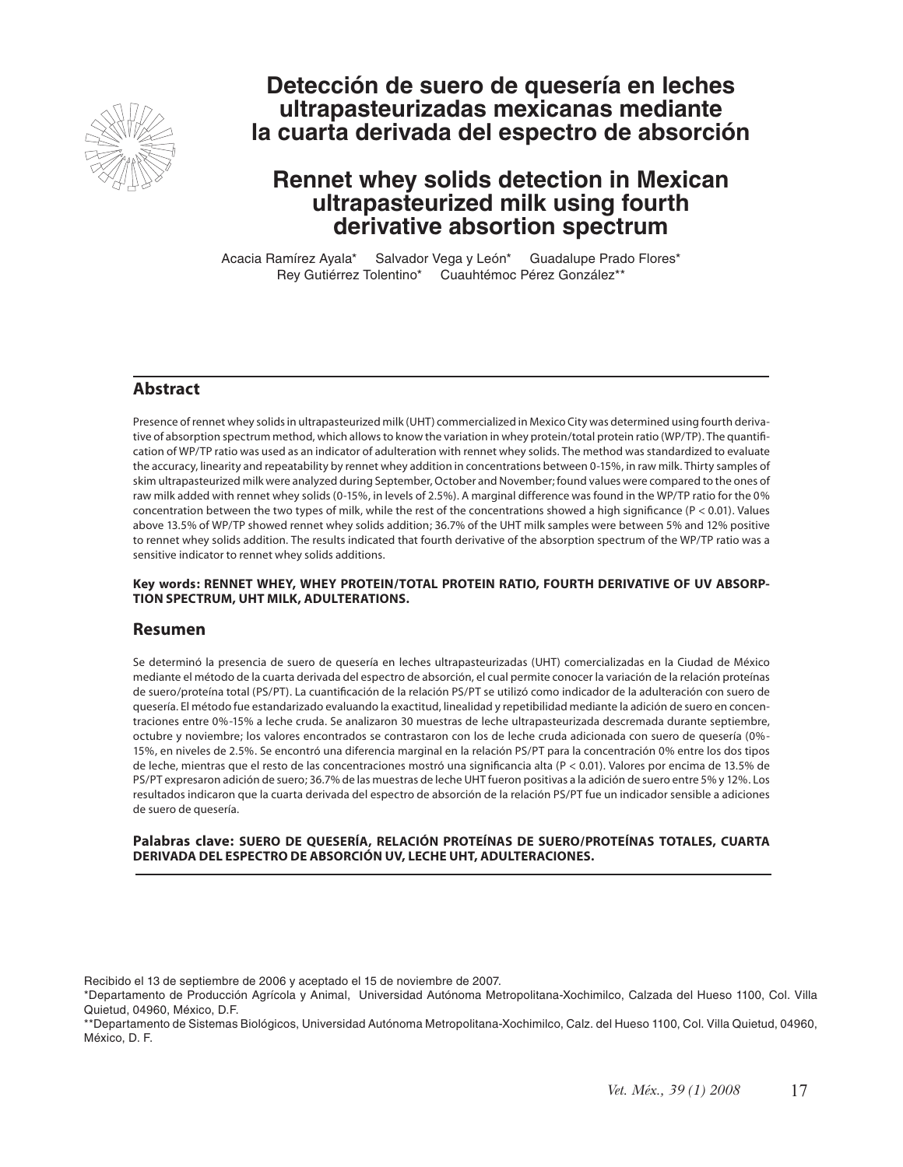

# **Detección de suero de quesería en leches ultrapasteurizadas mexicanas mediante la cuarta derivada del espectro de absorción**

# **Rennet whey solids detection in Mexican ultrapasteurized milk using fourth derivative absortion spectrum**

Acacia Ramírez Ayala\* Salvador Vega y León\* Guadalupe Prado Flores\* Rey Gutiérrez Tolentino\* Cuauhtémoc Pérez González\*\*

# **Abstract**

Presence of rennet whey solids in ultrapasteurized milk (UHT) commercialized in Mexico City was determined using fourth derivative of absorption spectrum method, which allows to know the variation in whey protein/total protein ratio (WP/TP). The quantification of WP/TP ratio was used as an indicator of adulteration with rennet whey solids. The method was standardized to evaluate the accuracy, linearity and repeatability by rennet whey addition in concentrations between 0-15%, in raw milk. Thirty samples of skim ultrapasteurized milk were analyzed during September, October and November; found values were compared to the ones of raw milk added with rennet whey solids (0-15%, in levels of 2.5%). A marginal difference was found in the WP/TP ratio for the 0% concentration between the two types of milk, while the rest of the concentrations showed a high significance ( $P < 0.01$ ). Values above 13.5% of WP/TP showed rennet whey solids addition; 36.7% of the UHT milk samples were between 5% and 12% positive to rennet whey solids addition. The results indicated that fourth derivative of the absorption spectrum of the WP/TP ratio was a sensitive indicator to rennet whey solids additions.

#### **Key words: RENNET WHEY, WHEY PROTEIN/TOTAL PROTEIN RATIO, FOURTH DERIVATIVE OF UV ABSORP-TION SPECTRUM, UHT MILK, ADULTERATIONS.**

#### **Resumen**

Se determinó la presencia de suero de quesería en leches ultrapasteurizadas (UHT) comercializadas en la Ciudad de México mediante el método de la cuarta derivada del espectro de absorción, el cual permite conocer la variación de la relación proteínas de suero/proteína total (PS/PT). La cuantificación de la relación PS/PT se utilizó como indicador de la adulteración con suero de quesería. El método fue estandarizado evaluando la exactitud, linealidad y repetibilidad mediante la adición de suero en concentraciones entre 0%-15% a leche cruda. Se analizaron 30 muestras de leche ultrapasteurizada descremada durante septiembre, octubre y noviembre; los valores encontrados se contrastaron con los de leche cruda adicionada con suero de quesería (0%- 15%, en niveles de 2.5%. Se encontró una diferencia marginal en la relación PS/PT para la concentración 0% entre los dos tipos de leche, mientras que el resto de las concentraciones mostró una significancia alta (P < 0.01). Valores por encima de 13.5% de PS/PT expresaron adición de suero; 36.7% de las muestras de leche UHT fueron positivas a la adición de suero entre 5% y 12%. Los resultados indicaron que la cuarta derivada del espectro de absorción de la relación PS/PT fue un indicador sensible a adiciones de suero de quesería.

#### **Palabras clave: SUERO DE QUESERÍA, RELACIÓN PROTEÍNAS DE SUERO/PROTEÍNAS TOTALES, CUARTA DERIVADA DEL ESPECTRO DE ABSORCIÓN UV, LECHE UHT, ADULTERACIONES.**

Recibido el 13 de septiembre de 2006 y aceptado el 15 de noviembre de 2007.

\*Departamento de Producción Agrícola y Animal, Universidad Autónoma Metropolitana-Xochimilco, Calzada del Hueso 1100, Col. Villa Quietud, 04960, México, D.F.

\*\*Departamento de Sistemas Biológicos, Universidad Autónoma Metropolitana-Xochimilco, Calz. del Hueso 1100, Col. Villa Quietud, 04960, México, D. F.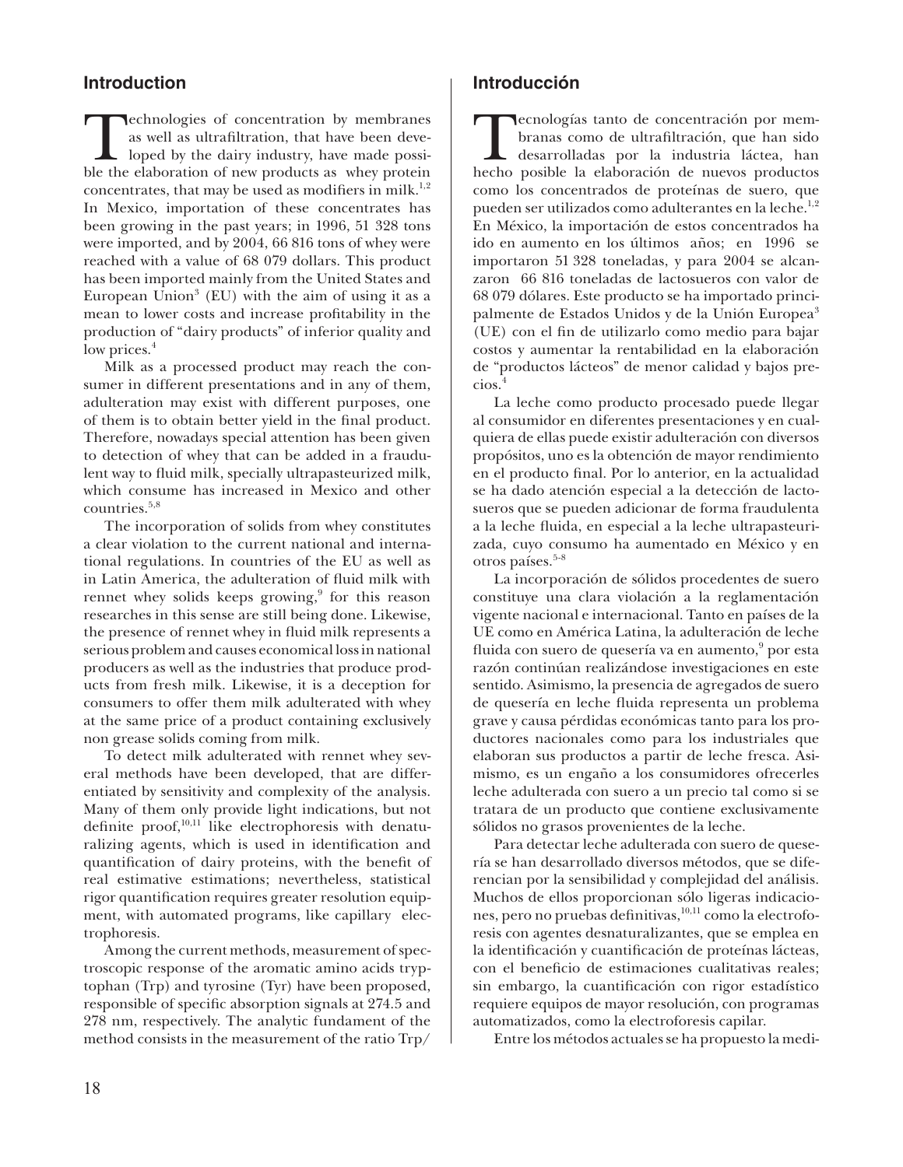# **Introduction**

Technologies of concentration by membranes<br>as well as ultrafiltration, that have been deve-<br>loped by the dairy industry, have made possi-<br>ble the elaboration of new products as whey protein as well as ultrafiltration, that have been developed by the dairy industry, have made possible the elaboration of new products as whey protein concentrates, that may be used as modifiers in milk.<sup>1,2</sup> In Mexico, importation of these concentrates has been growing in the past years; in 1996, 51 328 tons were imported, and by 2004, 66 816 tons of whey were reached with a value of 68 079 dollars. This product has been imported mainly from the United States and European Union<sup>3</sup> (EU) with the aim of using it as a mean to lower costs and increase profitability in the production of "dairy products" of inferior quality and low prices.<sup>4</sup>

Milk as a processed product may reach the consumer in different presentations and in any of them, adulteration may exist with different purposes, one of them is to obtain better yield in the final product. Therefore, nowadays special attention has been given to detection of whey that can be added in a fraudulent way to fluid milk, specially ultrapasteurized milk, which consume has increased in Mexico and other countries.5,8

The incorporation of solids from whey constitutes a clear violation to the current national and international regulations. In countries of the EU as well as in Latin America, the adulteration of fluid milk with rennet whey solids keeps growing,<sup>9</sup> for this reason researches in this sense are still being done. Likewise, the presence of rennet whey in fluid milk represents a serious problem and causes economical loss in national producers as well as the industries that produce products from fresh milk. Likewise, it is a deception for consumers to offer them milk adulterated with whey at the same price of a product containing exclusively non grease solids coming from milk.

To detect milk adulterated with rennet whey several methods have been developed, that are differentiated by sensitivity and complexity of the analysis. Many of them only provide light indications, but not definite proof, $10,11$  like electrophoresis with denaturalizing agents, which is used in identification and quantification of dairy proteins, with the benefit of real estimative estimations; nevertheless, statistical rigor quantification requires greater resolution equipment, with automated programs, like capillary electrophoresis.

Among the current methods, measurement of spectroscopic response of the aromatic amino acids tryptophan (Trp) and tyrosine (Tyr) have been proposed, responsible of specific absorption signals at 274.5 and 278 nm, respectively. The analytic fundament of the method consists in the measurement of the ratio Trp/

# **Introducción**

Tecnologías tanto de concentración por mem-<br>branas como de ultrafiltración, que han sido<br>desarrolladas por la industria láctea, han<br>hecho posible la elaboración de nuevos productos branas como de ultrafiltración, que han sido desarrolladas por la industria láctea, han hecho posible la elaboración de nuevos productos como los concentrados de proteínas de suero, que pueden ser utilizados como adulterantes en la leche.<sup>1,2</sup> En México, la importación de estos concentrados ha ido en aumento en los últimos años; en 1996 se importaron 51 328 toneladas, y para 2004 se alcanzaron 66 816 toneladas de lactosueros con valor de 68 079 dólares. Este producto se ha importado principalmente de Estados Unidos y de la Unión Europea<sup>3</sup> (UE) con el fin de utilizarlo como medio para bajar costos y aumentar la rentabilidad en la elaboración de "productos lácteos" de menor calidad y bajos precios.<sup>4</sup>

La leche como producto procesado puede llegar al consumidor en diferentes presentaciones y en cualquiera de ellas puede existir adulteración con diversos propósitos, uno es la obtención de mayor rendimiento en el producto final. Por lo anterior, en la actualidad se ha dado atención especial a la detección de lactosueros que se pueden adicionar de forma fraudulenta a la leche fluida, en especial a la leche ultrapasteurizada, cuyo consumo ha aumentado en México y en otros países.<sup>5-8</sup>

La incorporación de sólidos procedentes de suero constituye una clara violación a la reglamentación vigente nacional e internacional. Tanto en países de la UE como en América Latina, la adulteración de leche fluida con suero de quesería va en aumento, $^9$  por esta razón continúan realizándose investigaciones en este sentido. Asimismo, la presencia de agregados de suero de quesería en leche fluida representa un problema grave y causa pérdidas económicas tanto para los productores nacionales como para los industriales que elaboran sus productos a partir de leche fresca. Asimismo, es un engaño a los consumidores ofrecerles leche adulterada con suero a un precio tal como si se tratara de un producto que contiene exclusivamente sólidos no grasos provenientes de la leche.

Para detectar leche adulterada con suero de quesería se han desarrollado diversos métodos, que se diferencian por la sensibilidad y complejidad del análisis. Muchos de ellos proporcionan sólo ligeras indicaciones, pero no pruebas definitivas, <sup>10,11</sup> como la electroforesis con agentes desnaturalizantes, que se emplea en la identificación y cuantificación de proteínas lácteas, con el beneficio de estimaciones cualitativas reales; sin embargo, la cuantificación con rigor estadístico requiere equipos de mayor resolución, con programas automatizados, como la electroforesis capilar.

Entre los métodos actuales se ha propuesto la medi-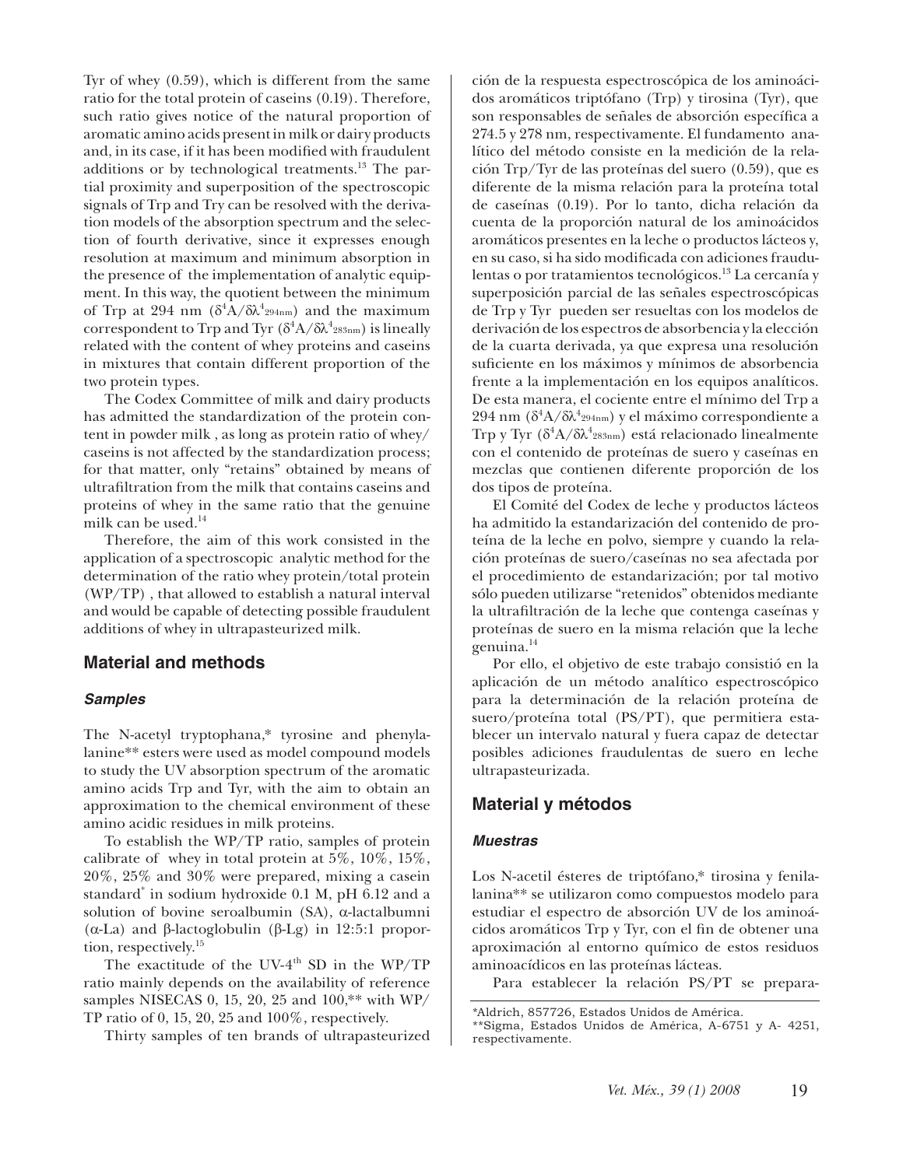Tyr of whey (0.59), which is different from the same ratio for the total protein of caseins (0.19). Therefore, such ratio gives notice of the natural proportion of aromatic amino acids present in milk or dairy products and, in its case, if it has been modified with fraudulent additions or by technological treatments.<sup>13</sup> The partial proximity and superposition of the spectroscopic signals of Trp and Try can be resolved with the derivation models of the absorption spectrum and the selection of fourth derivative, since it expresses enough resolution at maximum and minimum absorption in the presence of the implementation of analytic equipment. In this way, the quotient between the minimum of Trp at 294 nm  $(\delta^4 \hat{A}/\delta \lambda^4_{294nm})$  and the maximum correspondent to Trp and Tyr  $(\delta^4 A / \delta \lambda^4_{283nm})$  is lineally related with the content of whey proteins and caseins in mixtures that contain different proportion of the two protein types.

The Codex Committee of milk and dairy products has admitted the standardization of the protein content in powder milk , as long as protein ratio of whey/ caseins is not affected by the standardization process; for that matter, only "retains" obtained by means of ultrafiltration from the milk that contains caseins and proteins of whey in the same ratio that the genuine milk can be used. $14$ 

Therefore, the aim of this work consisted in the application of a spectroscopic analytic method for the determination of the ratio whey protein/total protein (WP/TP) , that allowed to establish a natural interval and would be capable of detecting possible fraudulent additions of whey in ultrapasteurized milk.

# **Material and methods**

#### *Samples*

The N-acetyl tryptophana,\* tyrosine and phenylalanine\*\* esters were used as model compound models to study the UV absorption spectrum of the aromatic amino acids Trp and Tyr, with the aim to obtain an approximation to the chemical environment of these amino acidic residues in milk proteins.

To establish the WP/TP ratio, samples of protein calibrate of whey in total protein at  $5\%$ ,  $10\%$ ,  $15\%$ , 20%, 25% and 30% were prepared, mixing a casein standard\* in sodium hydroxide 0.1 M, pH 6.12 and a solution of bovine seroalbumin (SA), α-lactalbumni (α-La) and β-lactoglobulin (β-Lg) in 12:5:1 proportion, respectively.15

The exactitude of the UV-4<sup>th</sup> SD in the WP/TP ratio mainly depends on the availability of reference samples NISECAS 0, 15, 20, 25 and 100,\*\* with WP/ TP ratio of 0, 15, 20, 25 and 100%, respectively.

Thirty samples of ten brands of ultrapasteurized

ción de la respuesta espectroscópica de los aminoácidos aromáticos triptófano (Trp) y tirosina (Tyr), que son responsables de señales de absorción específica a 274.5 y 278 nm, respectivamente. El fundamento analítico del método consiste en la medición de la relación Trp/Tyr de las proteínas del suero (0.59), que es diferente de la misma relación para la proteína total de caseínas (0.19). Por lo tanto, dicha relación da cuenta de la proporción natural de los aminoácidos aromáticos presentes en la leche o productos lácteos y, en su caso, si ha sido modificada con adiciones fraudulentas o por tratamientos tecnológicos.<sup>13</sup> La cercanía y superposición parcial de las señales espectroscópicas de Trp y Tyr pueden ser resueltas con los modelos de derivación de los espectros de absorbencia y la elección de la cuarta derivada, ya que expresa una resolución suficiente en los máximos y mínimos de absorbencia frente a la implementación en los equipos analíticos. De esta manera, el cociente entre el mínimo del Trp a  $294$  nm (δ $\mathrm{^4A}/\delta\lambda\mathrm{^4}$ 294nm) y el máximo correspondiente a Trp y Tyr (δ<sup>4</sup> A/δλ<sup>4</sup> 283nm) está relacionado linealmente con el contenido de proteínas de suero y caseínas en mezclas que contienen diferente proporción de los dos tipos de proteína.

El Comité del Codex de leche y productos lácteos ha admitido la estandarización del contenido de proteína de la leche en polvo, siempre y cuando la relación proteínas de suero/caseínas no sea afectada por el procedimiento de estandarización; por tal motivo sólo pueden utilizarse "retenidos" obtenidos mediante la ultrafiltración de la leche que contenga caseínas y proteínas de suero en la misma relación que la leche genuina.<sup>14</sup>

Por ello, el objetivo de este trabajo consistió en la aplicación de un método analítico espectroscópico para la determinación de la relación proteína de suero/proteína total (PS/PT), que permitiera establecer un intervalo natural y fuera capaz de detectar posibles adiciones fraudulentas de suero en leche ultrapasteurizada.

# **Material y métodos**

#### *Muestras*

Los N-acetil ésteres de triptófano,\* tirosina y fenilalanina\*\* se utilizaron como compuestos modelo para estudiar el espectro de absorción UV de los aminoácidos aromáticos Trp y Tyr, con el fin de obtener una aproximación al entorno químico de estos residuos aminoacídicos en las proteínas lácteas.

Para establecer la relación PS/PT se prepara-

<sup>\*</sup>Aldrich, 857726, Estados Unidos de América.

<sup>\*\*</sup>Sigma, Estados Unidos de América, A-6751 y A- 4251, respectivamente.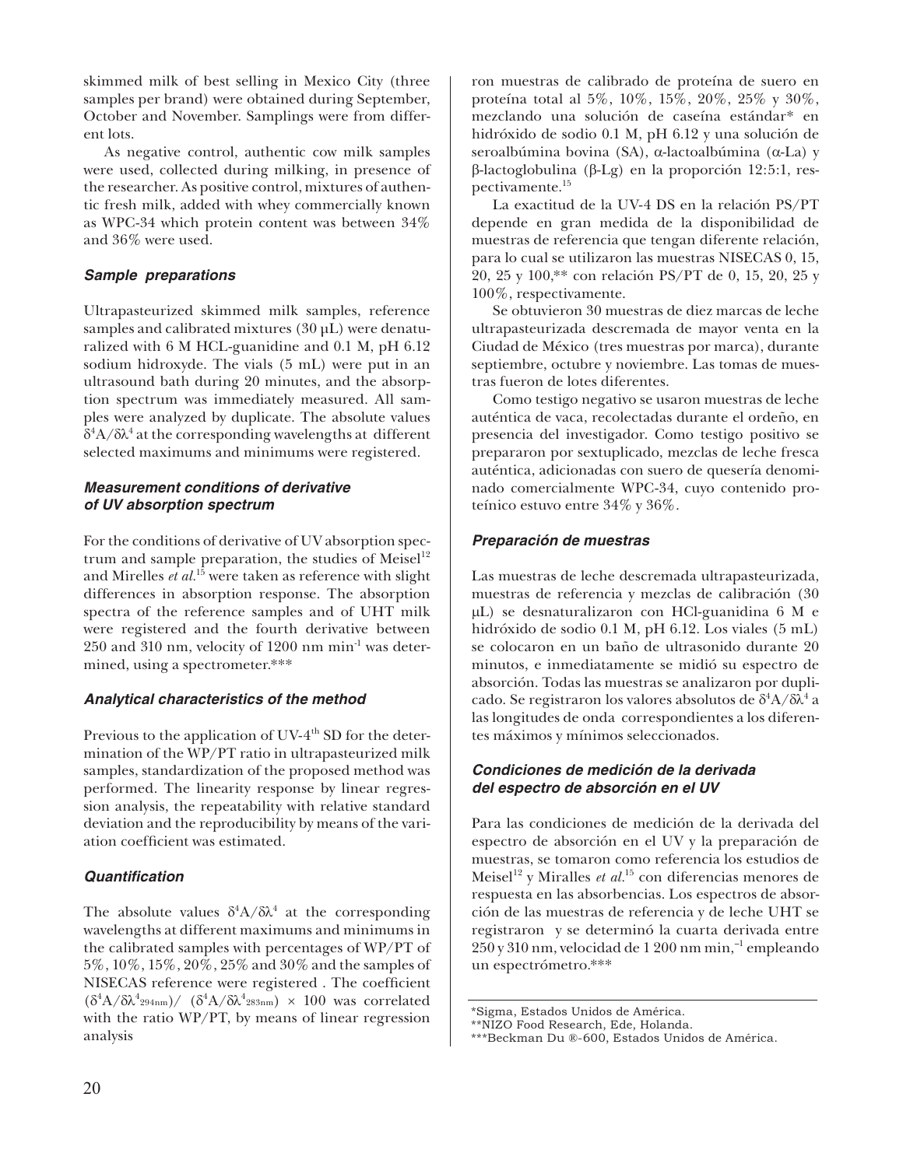skimmed milk of best selling in Mexico City (three samples per brand) were obtained during September, October and November. Samplings were from different lots.

As negative control, authentic cow milk samples were used, collected during milking, in presence of the researcher. As positive control, mixtures of authentic fresh milk, added with whey commercially known as WPC-34 which protein content was between 34% and 36% were used.

## *Sample preparations*

Ultrapasteurized skimmed milk samples, reference samples and calibrated mixtures (30 µL) were denaturalized with 6 M HCL-guanidine and 0.1 M, pH 6.12 sodium hidroxyde. The vials (5 mL) were put in an ultrasound bath during 20 minutes, and the absorption spectrum was immediately measured. All samples were analyzed by duplicate. The absolute values  $δ<sup>4</sup>A/δλ<sup>4</sup>$  at the corresponding wavelengths at different selected maximums and minimums were registered.

## *Measurement conditions of derivative of UV absorption spectrum*

For the conditions of derivative of UV absorption spectrum and sample preparation, the studies of Meisel $12$ and Mirelles *et al.*15 were taken as reference with slight differences in absorption response. The absorption spectra of the reference samples and of UHT milk were registered and the fourth derivative between 250 and 310 nm, velocity of 1200 nm min-1 was determined, using a spectrometer.\*\*\*

# *Analytical characteristics of the method*

Previous to the application of UV-4<sup>th</sup> SD for the determination of the WP/PT ratio in ultrapasteurized milk samples, standardization of the proposed method was performed. The linearity response by linear regression analysis, the repeatability with relative standard deviation and the reproducibility by means of the variation coefficient was estimated.

# *Quantifi cation*

The absolute values  $\delta^4 A / \delta \lambda^4$  at the corresponding wavelengths at different maximums and minimums in the calibrated samples with percentages of WP/PT of 5%, 10%, 15%, 20%, 25% and 30% and the samples of NISECAS reference were registered. The coefficient  $(\delta^4 A/\delta \lambda^4$ 294nm)/  $(\delta^4 A/\delta \lambda^4$ 283nm) × 100 was correlated with the ratio WP/PT, by means of linear regression analysis

ron muestras de calibrado de proteína de suero en proteína total al 5%, 10%, 15%, 20%, 25% y 30%, mezclando una solución de caseína estándar\* en hidróxido de sodio 0.1 M, pH 6.12 y una solución de seroalbúmina bovina (SA), α-lactoalbúmina (α-La) y β-lactoglobulina (β-Lg) en la proporción 12:5:1, respectivamente.<sup>15</sup>

La exactitud de la UV-4 DS en la relación PS/PT depende en gran medida de la disponibilidad de muestras de referencia que tengan diferente relación, para lo cual se utilizaron las muestras NISECAS 0, 15, 20, 25 y 100,\*\* con relación PS/PT de 0, 15, 20, 25 y 100%, respectivamente.

Se obtuvieron 30 muestras de diez marcas de leche ultrapasteurizada descremada de mayor venta en la Ciudad de México (tres muestras por marca), durante septiembre, octubre y noviembre. Las tomas de muestras fueron de lotes diferentes.

Como testigo negativo se usaron muestras de leche auténtica de vaca, recolectadas durante el ordeño, en presencia del investigador. Como testigo positivo se prepararon por sextuplicado, mezclas de leche fresca auténtica, adicionadas con suero de quesería denominado comercialmente WPC-34, cuyo contenido proteínico estuvo entre 34% y 36%.

# *Preparación de muestras*

Las muestras de leche descremada ultrapasteurizada, muestras de referencia y mezclas de calibración (30 µL) se desnaturalizaron con HCl-guanidina 6 M e hidróxido de sodio 0.1 M, pH 6.12. Los viales (5 mL) se colocaron en un baño de ultrasonido durante 20 minutos, e inmediatamente se midió su espectro de absorción. Todas las muestras se analizaron por duplicado. Se registraron los valores absolutos de  $\delta^4 A/\delta \hat{\lambda}^4$  a las longitudes de onda correspondientes a los diferentes máximos y mínimos seleccionados.

# *Condiciones de medición de la derivada del espectro de absorción en el UV*

Para las condiciones de medición de la derivada del espectro de absorción en el UV y la preparación de muestras, se tomaron como referencia los estudios de Meisel<sup>12</sup> y Miralles *et al.*<sup>15</sup> con diferencias menores de respuesta en las absorbencias. Los espectros de absorción de las muestras de referencia y de leche UHT se registraron y se determinó la cuarta derivada entre 250 y 310 nm, velocidad de 1 200 nm min,–1 empleando un espectrómetro.\*\*\*

<sup>\*</sup>Sigma, Estados Unidos de América.

<sup>\*\*</sup>NIZO Food Research, Ede, Holanda.

<sup>\*\*\*</sup>Beckman Du ®-600, Estados Unidos de América.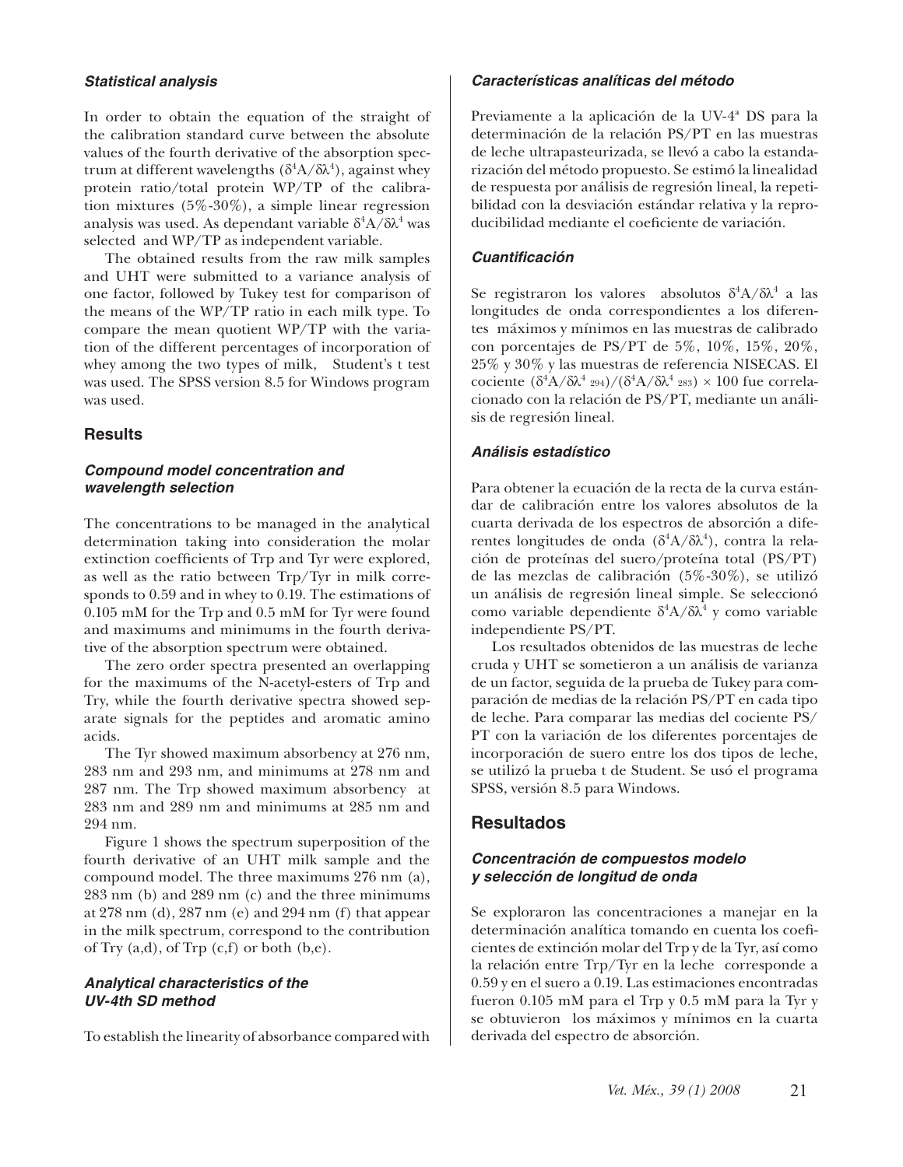#### *Statistical analysis*

In order to obtain the equation of the straight of the calibration standard curve between the absolute values of the fourth derivative of the absorption spectrum at different wavelengths  $(\delta^4 A/\delta \lambda^4)$ , against whey protein ratio/total protein WP/TP of the calibration mixtures  $(5\% - 30\%)$ , a simple linear regression analysis was used. As dependant variable  $\delta^4 A/\delta \lambda^4$  was selected and WP/TP as independent variable.

The obtained results from the raw milk samples and UHT were submitted to a variance analysis of one factor, followed by Tukey test for comparison of the means of the WP/TP ratio in each milk type. To compare the mean quotient WP/TP with the variation of the different percentages of incorporation of whey among the two types of milk, Student's t test was used. The SPSS version 8.5 for Windows program was used.

#### **Results**

#### *Compound model concentration and wavelength selection*

The concentrations to be managed in the analytical determination taking into consideration the molar extinction coefficients of Trp and Tyr were explored, as well as the ratio between Trp/Tyr in milk corresponds to 0.59 and in whey to 0.19. The estimations of 0.105 mM for the Trp and 0.5 mM for Tyr were found and maximums and minimums in the fourth derivative of the absorption spectrum were obtained.

The zero order spectra presented an overlapping for the maximums of the N-acetyl-esters of Trp and Try, while the fourth derivative spectra showed separate signals for the peptides and aromatic amino acids.

The Tyr showed maximum absorbency at 276 nm, 283 nm and 293 nm, and minimums at 278 nm and 287 nm. The Trp showed maximum absorbency at 283 nm and 289 nm and minimums at 285 nm and 294 nm.

Figure 1 shows the spectrum superposition of the fourth derivative of an UHT milk sample and the compound model. The three maximums 276 nm (a), 283 nm (b) and 289 nm (c) and the three minimums at 278 nm (d), 287 nm (e) and 294 nm (f) that appear in the milk spectrum, correspond to the contribution of Try  $(a,d)$ , of Trp  $(c,f)$  or both  $(b,e)$ .

#### *Analytical characteristics of the UV-4th SD method*

To establish the linearity of absorbance compared with

#### *Características analíticas del método*

Previamente a la aplicación de la UV-4ª DS para la determinación de la relación PS/PT en las muestras de leche ultrapasteurizada, se llevó a cabo la estandarización del método propuesto. Se estimó la linealidad de respuesta por análisis de regresión lineal, la repetibilidad con la desviación estándar relativa y la reproducibilidad mediante el coeficiente de variación.

#### *Cuantifi cación*

Se registraron los valores absolutos  $\delta^4 A / \delta \lambda^4$  a las longitudes de onda correspondientes a los diferentes máximos y mínimos en las muestras de calibrado con porcentajes de PS/PT de 5%, 10%, 15%, 20%, 25% y 30% y las muestras de referencia NISECAS. El cociente  $(\delta^4$ A/δλ<sup>4</sup> 294)/( $(\delta^4$ A/δλ<sup>4</sup> 283) × 100 fue correlacionado con la relación de PS/PT, mediante un análisis de regresión lineal.

#### *Análisis estadístico*

Para obtener la ecuación de la recta de la curva estándar de calibración entre los valores absolutos de la cuarta derivada de los espectros de absorción a diferentes longitudes de onda (δ<sup>4</sup>A/δλ<sup>4</sup>), contra la relación de proteínas del suero/proteína total (PS/PT) de las mezclas de calibración (5%-30%), se utilizó un análisis de regresión lineal simple. Se seleccionó como variable dependiente  $\delta^4 A / \delta \lambda^4$  y como variable independiente PS/PT.

Los resultados obtenidos de las muestras de leche cruda y UHT se sometieron a un análisis de varianza de un factor, seguida de la prueba de Tukey para comparación de medias de la relación PS/PT en cada tipo de leche. Para comparar las medias del cociente PS/ PT con la variación de los diferentes porcentajes de incorporación de suero entre los dos tipos de leche, se utilizó la prueba t de Student. Se usó el programa SPSS, versión 8.5 para Windows.

## **Resultados**

#### *Concentración de compuestos modelo y selección de longitud de onda*

Se exploraron las concentraciones a manejar en la determinación analítica tomando en cuenta los coeficientes de extinción molar del Trp y de la Tyr, así como la relación entre Trp/Tyr en la leche corresponde a 0.59 y en el suero a 0.19. Las estimaciones encontradas fueron 0.105 mM para el Trp y 0.5 mM para la Tyr y se obtuvieron los máximos y mínimos en la cuarta derivada del espectro de absorción.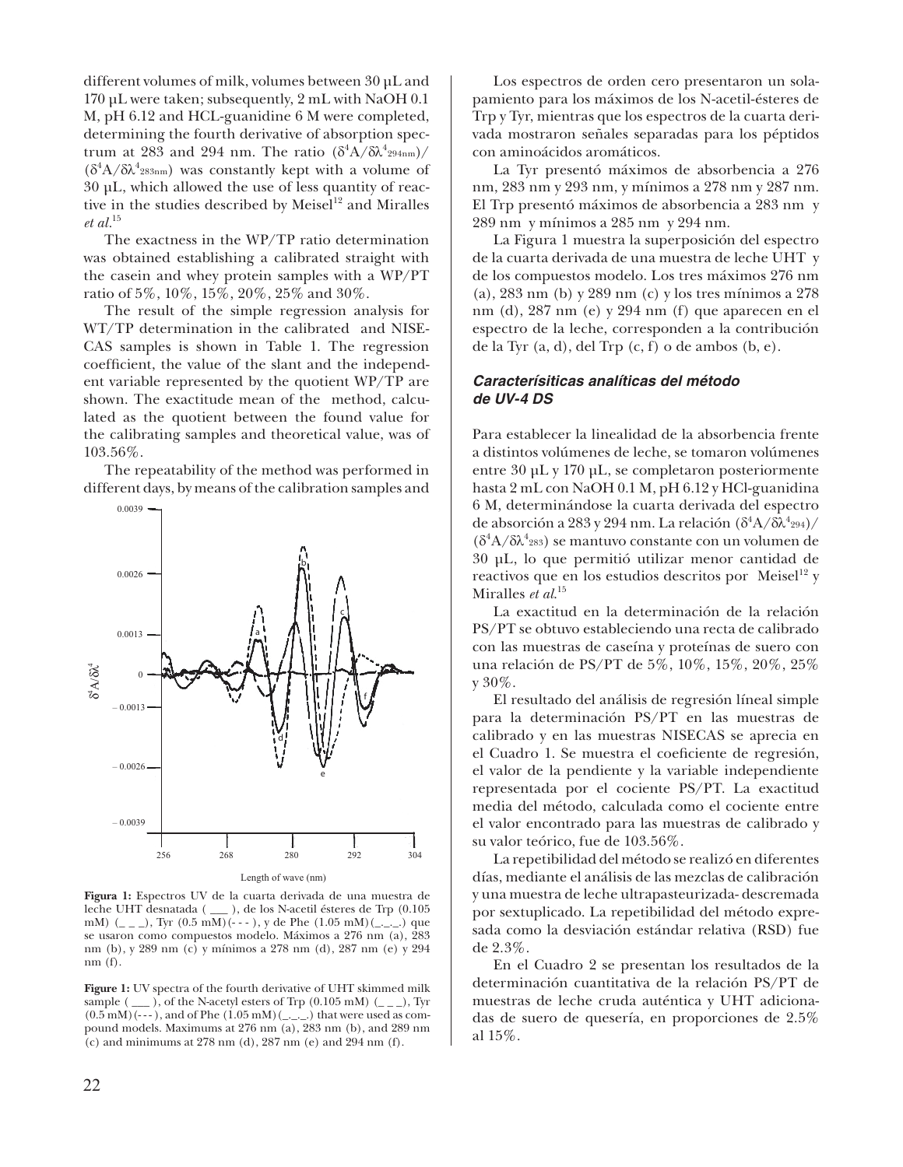different volumes of milk, volumes between 30 µL and 170 µL were taken; subsequently, 2 mL with NaOH 0.1 M, pH 6.12 and HCL-guanidine 6 M were completed, determining the fourth derivative of absorption spectrum at 283 and 294 nm. The ratio  $(\delta^4 A / \delta \lambda^4_{294nm})/$  $(δ<sup>4</sup>A/δλ<sup>4</sup><sub>283nm</sub>)$  was constantly kept with a volume of 30 µL, which allowed the use of less quantity of reactive in the studies described by Meisel<sup>12</sup> and Miralles *et al.*<sup>15</sup>

The exactness in the WP/TP ratio determination was obtained establishing a calibrated straight with the casein and whey protein samples with a WP/PT ratio of 5%, 10%, 15%, 20%, 25% and 30%.

The result of the simple regression analysis for WT/TP determination in the calibrated and NISE-CAS samples is shown in Table 1. The regression coefficient, the value of the slant and the independent variable represented by the quotient WP/TP are shown. The exactitude mean of the method, calculated as the quotient between the found value for the calibrating samples and theoretical value, was of 103.56%.

The repeatability of the method was performed in different days, by means of the calibration samples and



**Figura 1:** Espectros UV de la cuarta derivada de una muestra de leche UHT desnatada ( \_\_\_ ), de los N-acetil ésteres de Trp (0.105 mM) (\_ \_ \_), Tyr  $(0.5 \text{ mM})$ (---), y de Phe  $(1.05 \text{ mM})$ (\_ \_ \_) que se usaron como compuestos modelo. Máximos a 276 nm (a), 283 nm (b), y 289 nm (c) y mínimos a 278 nm (d), 287 nm (e) y 294 nm (f).

**Figure 1:** UV spectra of the fourth derivative of UHT skimmed milk sample ( $\_\$ ), of the N-acetyl esters of Trp (0.105 mM) ( $\_\$ ), Tyr  $(0.5 \text{ mM})$  (---), and of Phe  $(1.05 \text{ mM})$  (\_.\_.) that were used as compound models. Maximums at 276 nm (a), 283 nm (b), and 289 nm (c) and minimums at 278 nm (d), 287 nm (e) and 294 nm (f).

Los espectros de orden cero presentaron un solapamiento para los máximos de los N-acetil-ésteres de Trp y Tyr, mientras que los espectros de la cuarta derivada mostraron señales separadas para los péptidos con aminoácidos aromáticos.

La Tyr presentó máximos de absorbencia a 276 nm, 283 nm y 293 nm, y mínimos a 278 nm y 287 nm. El Trp presentó máximos de absorbencia a 283 nm y 289 nm y mínimos a 285 nm y 294 nm.

La Figura 1 muestra la superposición del espectro de la cuarta derivada de una muestra de leche UHT y de los compuestos modelo. Los tres máximos 276 nm (a), 283 nm (b) y 289 nm (c) y los tres mínimos a 278 nm (d), 287 nm (e) y 294 nm (f) que aparecen en el espectro de la leche, corresponden a la contribución de la Tyr  $(a, d)$ , del Tr $p$   $(c, f)$  o de ambos  $(b, e)$ .

### *Caracterísiticas analíticas del método de UV-4 DS*

Para establecer la linealidad de la absorbencia frente a distintos volúmenes de leche, se tomaron volúmenes entre 30 µL y 170 µL, se completaron posteriormente hasta 2 mL con NaOH 0.1 M, pH 6.12 y HCl-guanidina 6 M, determinándose la cuarta derivada del espectro de absorción a 283 y 294 nm. La relación  $(\delta^4 A/\hat{\delta\lambda^4}{}^{294})/$  $(\delta^4 A/\delta \lambda^4$ 283) se mantuvo constante con un volumen de 30 µL, lo que permitió utilizar menor cantidad de reactivos que en los estudios descritos por Meisel $^{12}$  y Miralles *et al*. 15

La exactitud en la determinación de la relación PS/PT se obtuvo estableciendo una recta de calibrado con las muestras de caseína y proteínas de suero con una relación de PS/PT de 5%, 10%, 15%, 20%, 25% y 30%.

El resultado del análisis de regresión líneal simple para la determinación PS/PT en las muestras de calibrado y en las muestras NISECAS se aprecia en el Cuadro 1. Se muestra el coeficiente de regresión, el valor de la pendiente y la variable independiente representada por el cociente PS/PT. La exactitud media del método, calculada como el cociente entre el valor encontrado para las muestras de calibrado y su valor teórico, fue de 103.56%.

La repetibilidad del método se realizó en diferentes días, mediante el análisis de las mezclas de calibración y una muestra de leche ultrapasteurizada- descremada por sextuplicado. La repetibilidad del método expresada como la desviación estándar relativa (RSD) fue de 2.3%.

En el Cuadro 2 se presentan los resultados de la determinación cuantitativa de la relación PS/PT de muestras de leche cruda auténtica y UHT adicionadas de suero de quesería, en proporciones de 2.5% al 15%.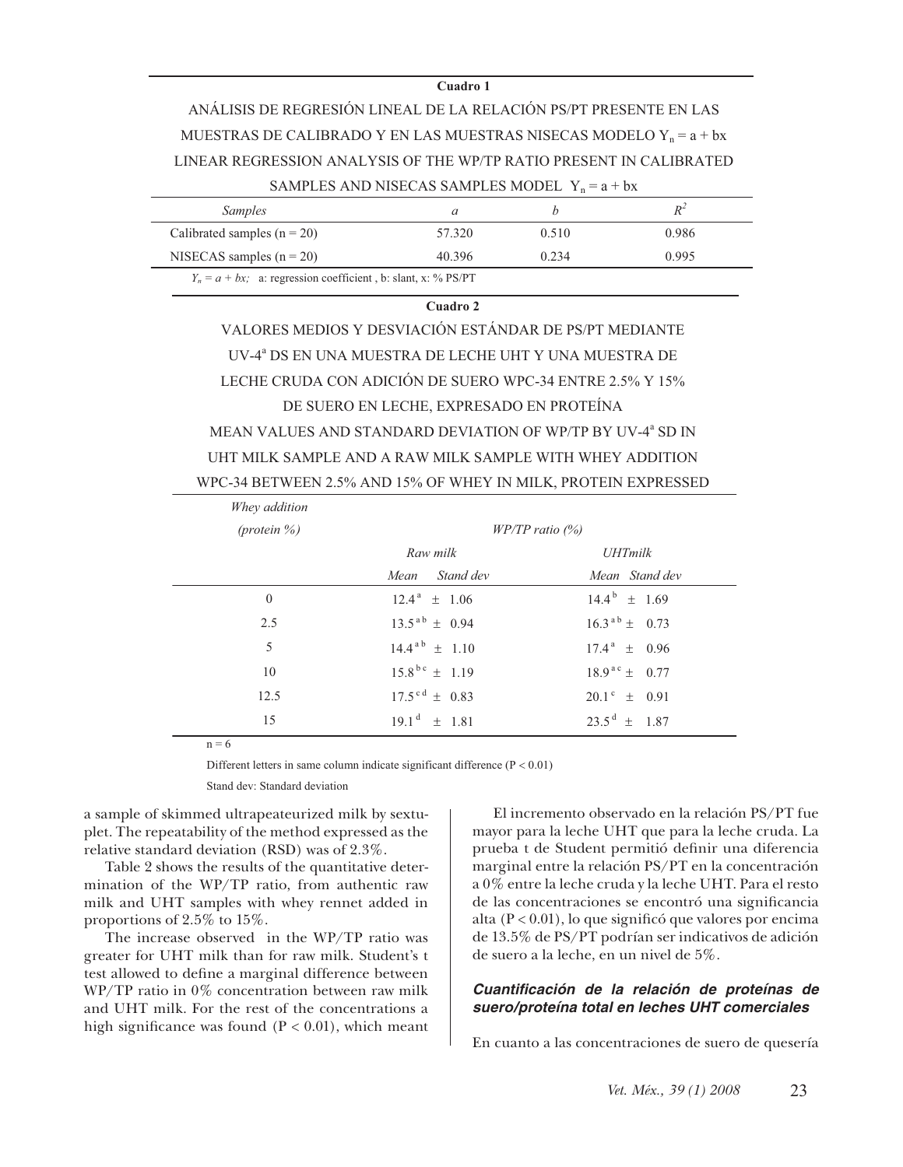#### **Cuadro 1**

ANÁLISIS DE REGRESIÓN LINEAL DE LA RELACIÓN PS/PT PRESENTE EN LAS MUESTRAS DE CALIBRADO Y EN LAS MUESTRAS NISECAS MODELO Y<sub>n</sub> =  $a + bx$ LINEAR REGRESSION ANALYSIS OF THE WP/TP RATIO PRESENT IN CALIBRATED SAMPLES AND NISECAS SAMPLES MODEL  $Y_n = a + bx$ 

| <i>Samples</i>                                                   |        |       | $R^2$ |
|------------------------------------------------------------------|--------|-------|-------|
| Calibrated samples $(n = 20)$                                    | 57.320 | 0.510 | 0.986 |
| NISECAS samples $(n = 20)$                                       | 40.396 | 0.234 | 0.995 |
| $Y_n = a + bx$ : a: regression coefficient, b: slant, x: % PS/PT |        |       |       |

**Cuadro 2**

VALORES MEDIOS Y DESVIACIÓN ESTÁNDAR DE PS/PT MEDIANTE UV-4<sup>ª</sup> DS EN UNA MUESTRA DE LECHE UHT Y UNA MUESTRA DE LECHE CRUDA CON ADICIÓN DE SUERO WPC-34 ENTRE 2.5% Y 15% DE SUERO EN LECHE, EXPRESADO EN PROTEÍNA MEAN VALUES AND STANDARD DEVIATION OF WP/TP BY UV-4<sup>a</sup> SD IN UHT MILK SAMPLE AND A RAW MILK SAMPLE WITH WHEY ADDITION WPC-34 BETWEEN 2.5% AND 15% OF WHEY IN MILK, PROTEIN EXPRESSED

| Whey addition   |                             |                              |  |  |
|-----------------|-----------------------------|------------------------------|--|--|
| (protein $\%$ ) | $W P / T P$ ratio $(\%)$    |                              |  |  |
|                 | Raw milk                    | <i><b>UHTmilk</b></i>        |  |  |
|                 | Stand dev<br>Mean           | Mean Stand dev               |  |  |
| $\mathbf{0}$    | $12.4^{\text{a}} \pm 1.06$  | $14.4^{\mathrm{b}} \pm 1.69$ |  |  |
| 2.5             | $13.5^{ab} \pm 0.94$        | $16.3^{ab} \pm 0.73$         |  |  |
| 5               | $14.4^{ab} \pm 1.10$        | $17.4^{\text{a}} \pm 0.96$   |  |  |
| 10              | $15.8^{bc} \pm 1.19$        | $18.9^{ac} \pm 0.77$         |  |  |
| 12.5            | $17.5^{\text{cd}} \pm 0.83$ | $20.1^{\circ} \pm 0.91$      |  |  |
| 15              | $19.1^{\text{d}} \pm 1.81$  | $23.5^{\text{d}} \pm 1.87$   |  |  |

 $n = 6$ 

Different letters in same column indicate significant difference  $(P < 0.01)$ 

Stand dev: Standard deviation

a sample of skimmed ultrapeateurized milk by sextuplet. The repeatability of the method expressed as the relative standard deviation (RSD) was of 2.3%.

Table 2 shows the results of the quantitative determination of the WP/TP ratio, from authentic raw milk and UHT samples with whey rennet added in proportions of 2.5% to 15%.

The increase observed in the WP/TP ratio was greater for UHT milk than for raw milk. Student's t test allowed to define a marginal difference between WP/TP ratio in 0% concentration between raw milk and UHT milk. For the rest of the concentrations a high significance was found  $(P < 0.01)$ , which meant

El incremento observado en la relación PS/PT fue mayor para la leche UHT que para la leche cruda. La prueba t de Student permitió definir una diferencia marginal entre la relación PS/PT en la concentración a 0% entre la leche cruda y la leche UHT. Para el resto de las concentraciones se encontró una significancia alta  $(P < 0.01)$ , lo que significó que valores por encima de 13.5% de PS/PT podrían ser indicativos de adición de suero a la leche, en un nivel de 5%.

#### *Cuantifi cación de la relación de proteínas de suero/proteína total en leches UHT comerciales*

En cuanto a las concentraciones de suero de quesería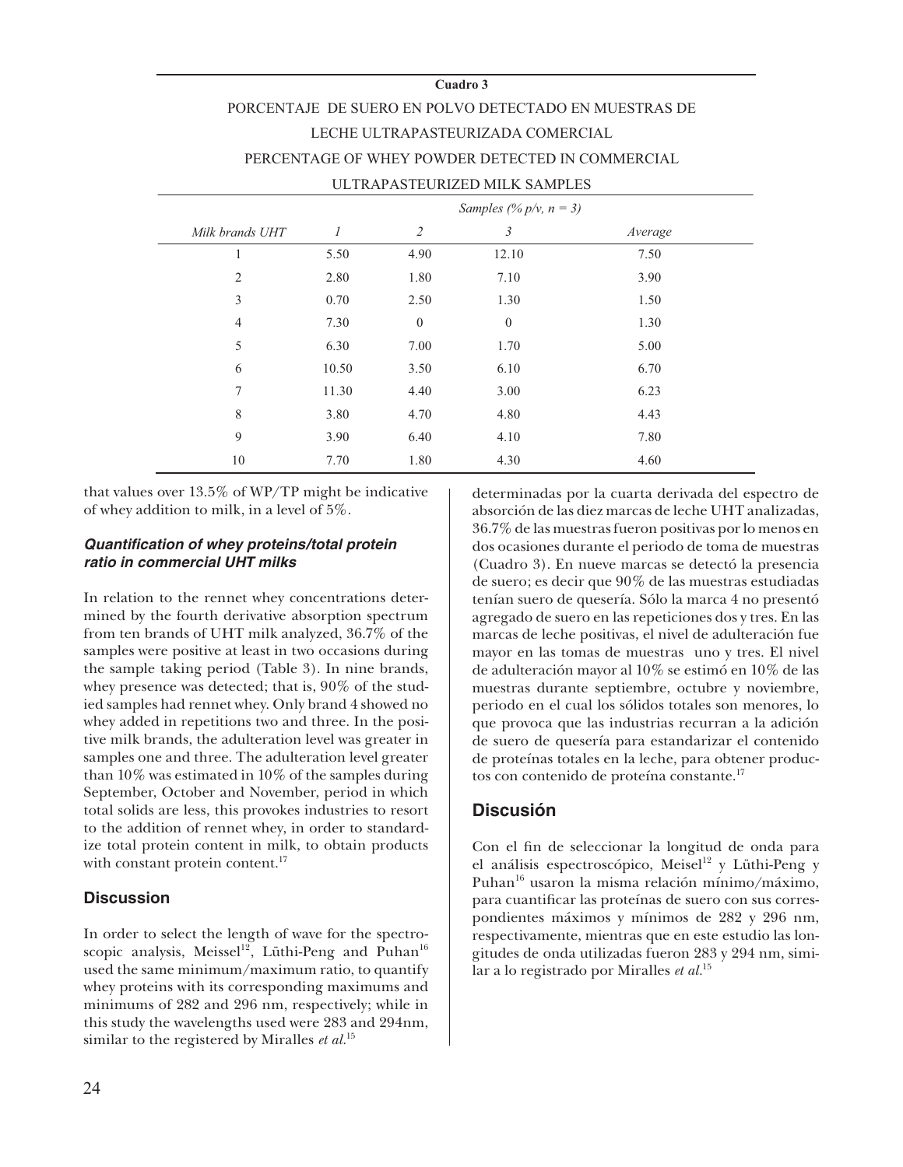#### **Cuadro 3**

# PORCENTAJE DE SUERO EN POLVO DETECTADO EN MUESTRAS DE LECHE ULTRAPASTEURIZADA COMERCIAL PERCENTAGE OF WHEY POWDER DETECTED IN COMMERCIAL ULTRAPASTEURIZED MILK SAMPLES

|                 |       |              | Samples (% $p/v$ , $n = 3$ ) |         |  |
|-----------------|-------|--------------|------------------------------|---------|--|
| Milk brands UHT | 1     | 2            | 3                            | Average |  |
| 1               | 5.50  | 4.90         | 12.10                        | 7.50    |  |
| $\overline{2}$  | 2.80  | 1.80         | 7.10                         | 3.90    |  |
| $\mathfrak{Z}$  | 0.70  | 2.50         | 1.30                         | 1.50    |  |
| $\overline{4}$  | 7.30  | $\mathbf{0}$ | $\boldsymbol{0}$             | 1.30    |  |
| 5               | 6.30  | 7.00         | 1.70                         | 5.00    |  |
| 6               | 10.50 | 3.50         | 6.10                         | 6.70    |  |
| 7               | 11.30 | 4.40         | 3.00                         | 6.23    |  |
| $\,$ 8 $\,$     | 3.80  | 4.70         | 4.80                         | 4.43    |  |
| 9               | 3.90  | 6.40         | 4.10                         | 7.80    |  |
| 10              | 7.70  | 1.80         | 4.30                         | 4.60    |  |

that values over 13.5% of WP/TP might be indicative of whey addition to milk, in a level of 5%.

### *Quantifi cation of whey proteins/total protein ratio in commercial UHT milks*

In relation to the rennet whey concentrations determined by the fourth derivative absorption spectrum from ten brands of UHT milk analyzed, 36.7% of the samples were positive at least in two occasions during the sample taking period (Table 3). In nine brands, whey presence was detected; that is, 90% of the studied samples had rennet whey. Only brand 4 showed no whey added in repetitions two and three. In the positive milk brands, the adulteration level was greater in samples one and three. The adulteration level greater than 10% was estimated in 10% of the samples during September, October and November, period in which total solids are less, this provokes industries to resort to the addition of rennet whey, in order to standardize total protein content in milk, to obtain products with constant protein content.<sup>17</sup>

# **Discussion**

In order to select the length of wave for the spectroscopic analysis, Meissel<sup>12</sup>, Lüthi-Peng and Puhan<sup>16</sup> used the same minimum/maximum ratio, to quantify whey proteins with its corresponding maximums and minimums of 282 and 296 nm, respectively; while in this study the wavelengths used were 283 and 294nm, similar to the registered by Miralles *et al.*<sup>15</sup>

determinadas por la cuarta derivada del espectro de absorción de las diez marcas de leche UHT analizadas, 36.7% de las muestras fueron positivas por lo menos en dos ocasiones durante el periodo de toma de muestras (Cuadro 3). En nueve marcas se detectó la presencia de suero; es decir que 90% de las muestras estudiadas tenían suero de quesería. Sólo la marca 4 no presentó agregado de suero en las repeticiones dos y tres. En las marcas de leche positivas, el nivel de adulteración fue mayor en las tomas de muestras uno y tres. El nivel de adulteración mayor al 10% se estimó en 10% de las muestras durante septiembre, octubre y noviembre, periodo en el cual los sólidos totales son menores, lo que provoca que las industrias recurran a la adición de suero de quesería para estandarizar el contenido de proteínas totales en la leche, para obtener productos con contenido de proteína constante.<sup>17</sup>

# **Discusión**

Con el fin de seleccionar la longitud de onda para el análisis espectroscópico, Meisel<sup>12</sup> y Lüthi-Peng y Puhan16 usaron la misma relación mínimo/máximo, para cuantificar las proteínas de suero con sus correspondientes máximos y mínimos de 282 y 296 nm, respectivamente, mientras que en este estudio las longitudes de onda utilizadas fueron 283 y 294 nm, similar a lo registrado por Miralles *et al.*<sup>15</sup>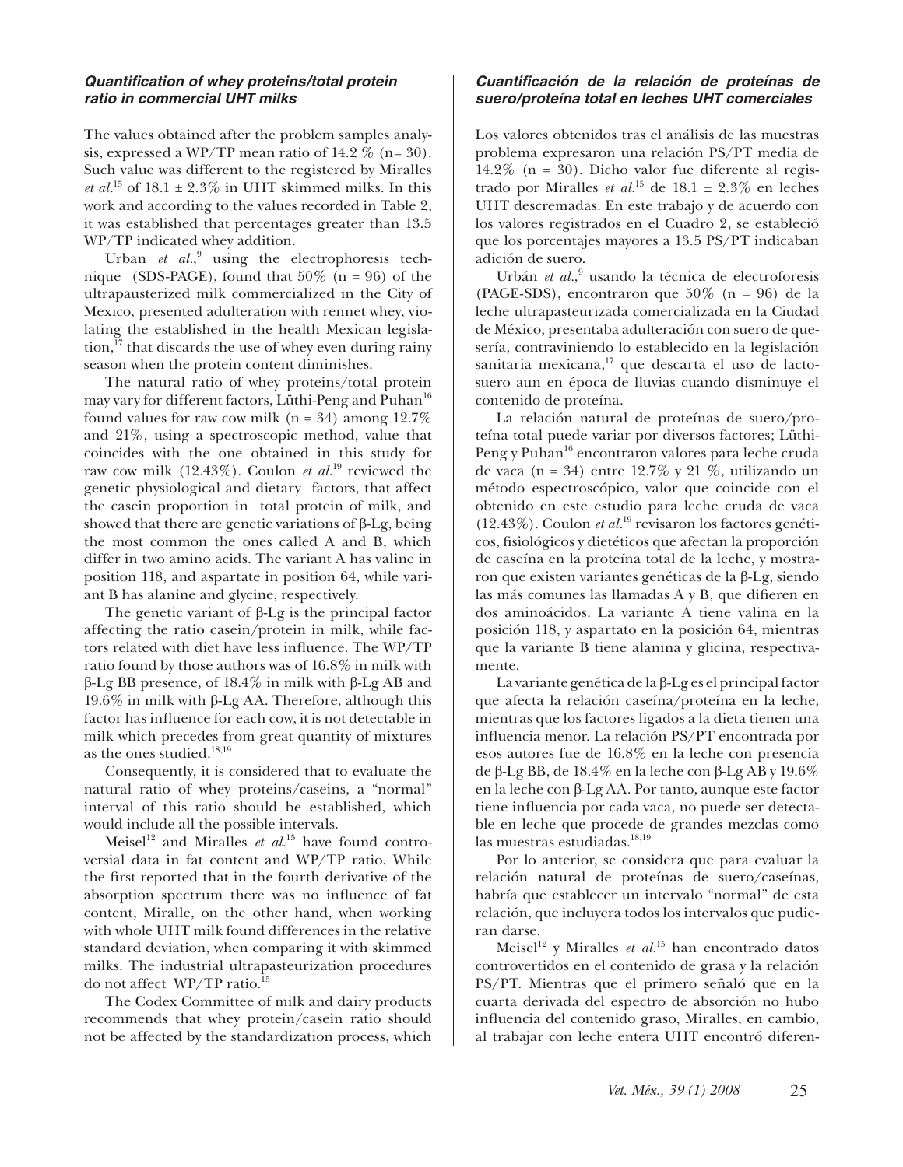#### *Quantifi cation of whey proteins/total protein ratio in commercial UHT milks*

The values obtained after the problem samples analysis, expressed a WP/TP mean ratio of 14.2  $\%$  (n= 30). Such value was different to the registered by Miralles *et al.*<sup>15</sup> of 18.1  $\pm$  2.3% in UHT skimmed milks. In this work and according to the values recorded in Table 2, it was established that percentages greater than 13.5 WP/TP indicated whey addition.

Urban et al.,<sup>9</sup> using the electrophoresis technique (SDS-PAGE), found that  $50\%$  (n = 96) of the ultrapausterized milk commercialized in the City of Mexico, presented adulteration with rennet whey, violating the established in the health Mexican legislation, $^{17}$  that discards the use of whey even during rainy season when the protein content diminishes.

The natural ratio of whey proteins/total protein may vary for different factors, Lüthi-Peng and Puhan<sup>16</sup> found values for raw cow milk ( $n = 34$ ) among 12.7% and 21%, using a spectroscopic method, value that coincides with the one obtained in this study for raw cow milk  $(12.43\%)$ . Coulon *et al.*<sup>19</sup> reviewed the genetic physiological and dietary factors, that affect the casein proportion in total protein of milk, and showed that there are genetic variations of  $\beta$ -Lg, being the most common the ones called A and B, which differ in two amino acids. The variant A has valine in position 118, and aspartate in position 64, while variant B has alanine and glycine, respectively.

The genetic variant of β-Lg is the principal factor affecting the ratio casein/protein in milk, while factors related with diet have less influence. The WP/TP ratio found by those authors was of 16.8% in milk with β-Lg BB presence, of 18.4% in milk with β-Lg AB and 19.6% in milk with β-Lg AA. Therefore, although this factor has influence for each cow, it is not detectable in milk which precedes from great quantity of mixtures as the ones studied.<sup>18,19</sup>

Consequently, it is considered that to evaluate the natural ratio of whey proteins/caseins, a "normal" interval of this ratio should be established, which would include all the possible intervals.

Meisel<sup>12</sup> and Miralles *et al.*<sup>15</sup> have found controversial data in fat content and WP/TP ratio. While the first reported that in the fourth derivative of the absorption spectrum there was no influence of fat content, Miralle, on the other hand, when working with whole UHT milk found differences in the relative standard deviation, when comparing it with skimmed milks. The industrial ultrapasteurization procedures do not affect WP/TP ratio.<sup>15</sup>

The Codex Committee of milk and dairy products recommends that whey protein/casein ratio should not be affected by the standardization process, which

# *Cuantifi cación de la relación de proteínas de suero/proteína total en leches UHT comerciales*

Los valores obtenidos tras el análisis de las muestras problema expresaron una relación PS/PT media de 14.2% ( $n = 30$ ). Dicho valor fue diferente al registrado por Miralles *et al.*<sup>15</sup> de 18.1  $\pm$  2.3% en leches UHT descremadas. En este trabajo y de acuerdo con los valores registrados en el Cuadro 2, se estableció que los porcentajes mayores a 13.5 PS/PT indicaban adición de suero.

Urbán et al.,<sup>9</sup> usando la técnica de electroforesis (PAGE-SDS), encontraron que 50% (n = 96) de la leche ultrapasteurizada comercializada en la Ciudad de México, presentaba adulteración con suero de quesería, contraviniendo lo establecido en la legislación sanitaria mexicana,<sup>17</sup> que descarta el uso de lactosuero aun en época de lluvias cuando disminuye el contenido de proteína.

La relación natural de proteínas de suero/proteína total puede variar por diversos factores; Lüthi-Peng y Puhan<sup>16</sup> encontraron valores para leche cruda de vaca (n = 34) entre 12.7% y 21 %, utilizando un método espectroscópico, valor que coincide con el obtenido en este estudio para leche cruda de vaca (12.43%). Coulon *et al.*19 revisaron los factores genéticos, fi siológicos y dietéticos que afectan la proporción de caseína en la proteína total de la leche, y mostraron que existen variantes genéticas de la β-Lg, siendo las más comunes las llamadas A y B, que difieren en dos aminoácidos. La variante A tiene valina en la posición 118, y aspartato en la posición 64, mientras que la variante B tiene alanina y glicina, respectivamente.

La variante genética de la β-Lg es el principal factor que afecta la relación caseína/proteína en la leche, mientras que los factores ligados a la dieta tienen una infl uencia menor. La relación PS/PT encontrada por esos autores fue de 16.8% en la leche con presencia de β-Lg BB, de 18.4% en la leche con β-Lg AB y 19.6% en la leche con β-Lg AA. Por tanto, aunque este factor tiene influencia por cada vaca, no puede ser detectable en leche que procede de grandes mezclas como las muestras estudiadas.<sup>18,19</sup>

Por lo anterior, se considera que para evaluar la relación natural de proteínas de suero/caseínas, habría que establecer un intervalo "normal" de esta relación, que incluyera todos los intervalos que pudieran darse.

Meisel<sup>12</sup> y Miralles *et al.*<sup>15</sup> han encontrado datos controvertidos en el contenido de grasa y la relación PS/PT. Mientras que el primero señaló que en la cuarta derivada del espectro de absorción no hubo influencia del contenido graso, Miralles, en cambio, al trabajar con leche entera UHT encontró diferen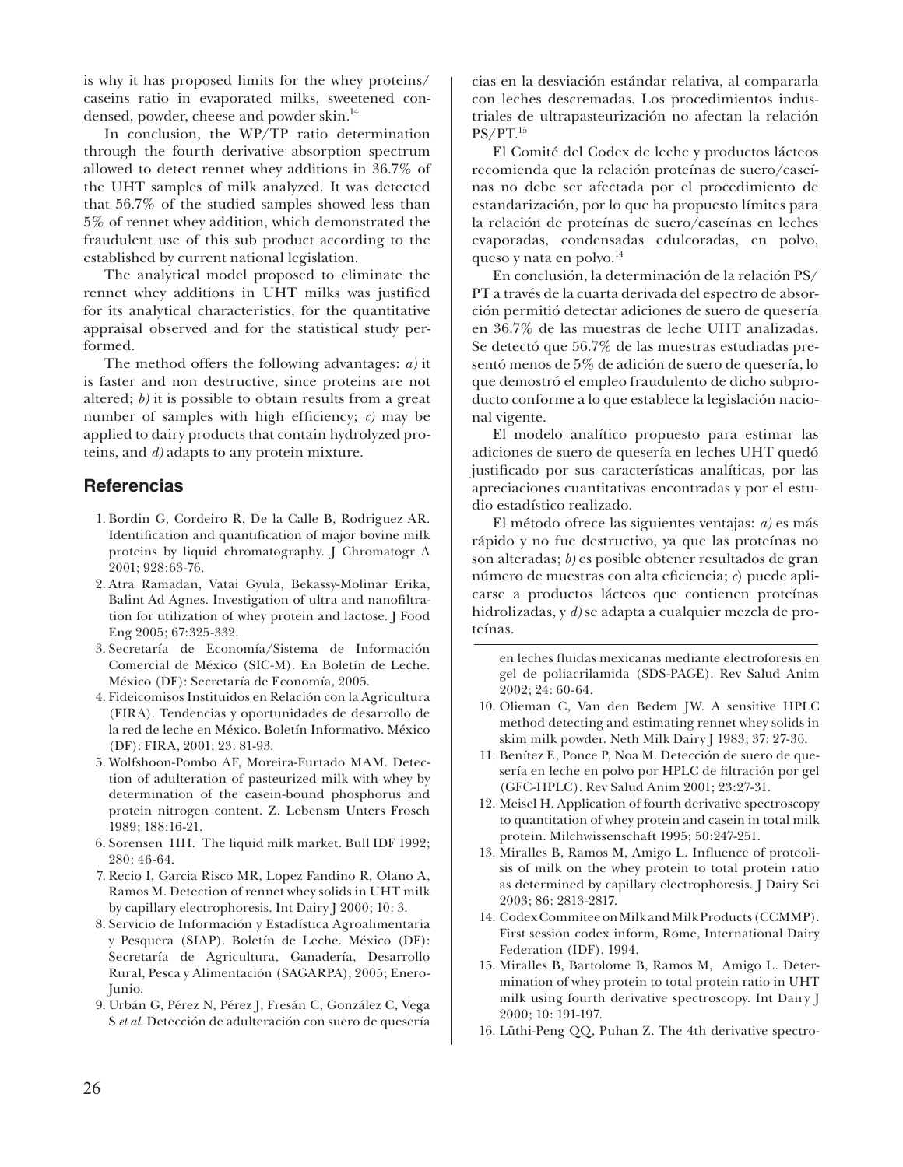is why it has proposed limits for the whey proteins/ caseins ratio in evaporated milks, sweetened condensed, powder, cheese and powder skin.<sup>14</sup>

In conclusion, the WP/TP ratio determination through the fourth derivative absorption spectrum allowed to detect rennet whey additions in 36.7% of the UHT samples of milk analyzed. It was detected that 56.7% of the studied samples showed less than 5% of rennet whey addition, which demonstrated the fraudulent use of this sub product according to the established by current national legislation.

The analytical model proposed to eliminate the rennet whey additions in UHT milks was justified for its analytical characteristics, for the quantitative appraisal observed and for the statistical study performed.

The method offers the following advantages: *a)* it is faster and non destructive, since proteins are not altered; *b)* it is possible to obtain results from a great number of samples with high efficiency;  $c$ ) may be applied to dairy products that contain hydrolyzed proteins, and *d)* adapts to any protein mixture.

# **Referencias**

- 1. Bordin G, Cordeiro R, De la Calle B, Rodriguez AR. Identification and quantification of major bovine milk proteins by liquid chromatography. J Chromatogr A 2001; 928:63-76.
- Atra Ramadan, Vatai Gyula, Bekassy-Molinar Erika, 2. Balint Ad Agnes. Investigation of ultra and nanofiltration for utilization of whey protein and lactose. J Food Eng 2005; 67:325-332.
- Secretaría de Economía/Sistema de Información 3. Comercial de México (SIC-M). En Boletín de Leche. México (DF): Secretaría de Economía, 2005.
- Fideicomisos Instituidos en Relación con la Agricultura 4. (FIRA). Tendencias y oportunidades de desarrollo de la red de leche en México. Boletín Informativo. México (DF): FIRA, 2001; 23: 81-93.
- Wolfshoon-Pombo AF, Moreira-Furtado MAM. Detec-5. tion of adulteration of pasteurized milk with whey by determination of the casein-bound phosphorus and protein nitrogen content. Z. Lebensm Unters Frosch 1989; 188:16-21.
- 6. Sorensen HH. The liquid milk market. Bull IDF 1992; 280: 46-64.
- 7. Recio I, Garcia Risco MR, Lopez Fandino R, Olano A, Ramos M. Detection of rennet whey solids in UHT milk by capillary electrophoresis. Int Dairy J 2000; 10: 3.
- Servicio de Información y Estadística Agroalimentaria 8. y Pesquera (SIAP). Boletín de Leche. México (DF): Secretaría de Agricultura, Ganadería, Desarrollo Rural, Pesca y Alimentación (SAGARPA), 2005; Enero-Junio.
- 9. Urbán G, Pérez N, Pérez J, Fresán C, González C, Vega S *et al*. Detección de adulteración con suero de quesería

cias en la desviación estándar relativa, al compararla con leches descremadas. Los procedimientos industriales de ultrapasteurización no afectan la relación PS/PT.15

El Comité del Codex de leche y productos lácteos recomienda que la relación proteínas de suero/caseínas no debe ser afectada por el procedimiento de estandarización, por lo que ha propuesto límites para la relación de proteínas de suero/caseínas en leches evaporadas, condensadas edulcoradas, en polvo, queso y nata en polvo.<sup>14</sup>

En conclusión, la determinación de la relación PS/ PT a través de la cuarta derivada del espectro de absorción permitió detectar adiciones de suero de quesería en 36.7% de las muestras de leche UHT analizadas. Se detectó que 56.7% de las muestras estudiadas presentó menos de 5% de adición de suero de quesería, lo que demostró el empleo fraudulento de dicho subproducto conforme a lo que establece la legislación nacional vigente.

El modelo analítico propuesto para estimar las adiciones de suero de quesería en leches UHT quedó justificado por sus características analíticas, por las apreciaciones cuantitativas encontradas y por el estudio estadístico realizado.

El método ofrece las siguientes ventajas: *a)* es más rápido y no fue destructivo, ya que las proteínas no son alteradas; *b)* es posible obtener resultados de gran número de muestras con alta eficiencia; *c*) puede aplicarse a productos lácteos que contienen proteínas hidrolizadas, y *d)* se adapta a cualquier mezcla de proteínas.

en leches fluidas mexicanas mediante electroforesis en gel de poliacrilamida (SDS-PAGE). Rev Salud Anim 2002; 24: 60-64.

- 10. Olieman C, Van den Bedem JW. A sensitive HPLC method detecting and estimating rennet whey solids in skim milk powder. Neth Milk Dairy J 1983; 37: 27-36.
- Benítez E, Ponce P, Noa M. Detección de suero de que-11. sería en leche en polvo por HPLC de filtración por gel (GFC-HPLC). Rev Salud Anim 2001; 23:27-31.
- 12. Meisel H. Application of fourth derivative spectroscopy to quantitation of whey protein and casein in total milk protein. Milchwissenschaft 1995; 50:247-251.
- 13. Miralles B, Ramos M, Amigo L. Influence of proteolisis of milk on the whey protein to total protein ratio as determined by capillary electrophoresis. J Dairy Sci 2003; 86: 2813-2817.
- 14. Codex Commitee on Milk and Milk Products (CCMMP). First session codex inform, Rome, International Dairy Federation (IDF). 1994.
- 15. Miralles B, Bartolome B, Ramos M, Amigo L. Determination of whey protein to total protein ratio in UHT milk using fourth derivative spectroscopy. Int Dairy J 2000; 10: 191-197.
- 16. Lüthi-Peng QQ, Puhan Z. The 4th derivative spectro-